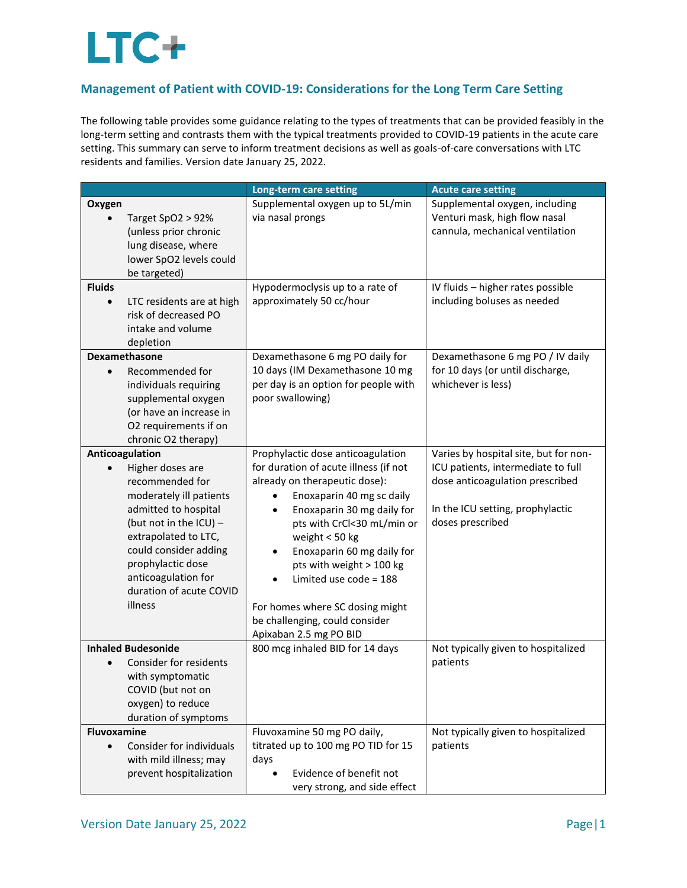## LTC+

## **Management of Patient with COVID-19: Considerations for the Long Term Care Setting**

The following table provides some guidance relating to the types of treatments that can be provided feasibly in the long-term setting and contrasts them with the typical treatments provided to COVID-19 patients in the acute care setting. This summary can serve to inform treatment decisions as well as goals-of-care conversations with LTC residents and families. Version date January 25, 2022.

|                                                                                                                                                                                                                                                                          | Long-term care setting                                                                                                                                                                                                                                                                                                                                                                                                 | <b>Acute care setting</b>                                                                                                                                              |
|--------------------------------------------------------------------------------------------------------------------------------------------------------------------------------------------------------------------------------------------------------------------------|------------------------------------------------------------------------------------------------------------------------------------------------------------------------------------------------------------------------------------------------------------------------------------------------------------------------------------------------------------------------------------------------------------------------|------------------------------------------------------------------------------------------------------------------------------------------------------------------------|
| Oxygen<br>Target SpO2 > 92%<br>(unless prior chronic<br>lung disease, where<br>lower SpO2 levels could<br>be targeted)<br><b>Fluids</b>                                                                                                                                  | Supplemental oxygen up to 5L/min<br>via nasal prongs<br>Hypodermoclysis up to a rate of                                                                                                                                                                                                                                                                                                                                | Supplemental oxygen, including<br>Venturi mask, high flow nasal<br>cannula, mechanical ventilation<br>IV fluids - higher rates possible                                |
| LTC residents are at high<br>$\bullet$<br>risk of decreased PO<br>intake and volume<br>depletion                                                                                                                                                                         | approximately 50 cc/hour                                                                                                                                                                                                                                                                                                                                                                                               | including boluses as needed                                                                                                                                            |
| Dexamethasone<br>Recommended for<br>individuals requiring<br>supplemental oxygen<br>(or have an increase in<br>O2 requirements if on<br>chronic O2 therapy)                                                                                                              | Dexamethasone 6 mg PO daily for<br>10 days (IM Dexamethasone 10 mg<br>per day is an option for people with<br>poor swallowing)                                                                                                                                                                                                                                                                                         | Dexamethasone 6 mg PO / IV daily<br>for 10 days (or until discharge,<br>whichever is less)                                                                             |
| Anticoagulation<br>Higher doses are<br>recommended for<br>moderately ill patients<br>admitted to hospital<br>(but not in the ICU) $-$<br>extrapolated to LTC,<br>could consider adding<br>prophylactic dose<br>anticoagulation for<br>duration of acute COVID<br>illness | Prophylactic dose anticoagulation<br>for duration of acute illness (if not<br>already on therapeutic dose):<br>Enoxaparin 40 mg sc daily<br>Enoxaparin 30 mg daily for<br>$\bullet$<br>pts with CrCl<30 mL/min or<br>weight < 50 kg<br>Enoxaparin 60 mg daily for<br>pts with weight > 100 kg<br>Limited use code = 188<br>For homes where SC dosing might<br>be challenging, could consider<br>Apixaban 2.5 mg PO BID | Varies by hospital site, but for non-<br>ICU patients, intermediate to full<br>dose anticoagulation prescribed<br>In the ICU setting, prophylactic<br>doses prescribed |
| <b>Inhaled Budesonide</b><br>Consider for residents<br>with symptomatic<br>COVID (but not on<br>oxygen) to reduce<br>duration of symptoms                                                                                                                                | 800 mcg inhaled BID for 14 days                                                                                                                                                                                                                                                                                                                                                                                        | Not typically given to hospitalized<br>patients                                                                                                                        |
| <b>Fluvoxamine</b><br>Consider for individuals<br>with mild illness; may<br>prevent hospitalization                                                                                                                                                                      | Fluvoxamine 50 mg PO daily,<br>titrated up to 100 mg PO TID for 15<br>days<br>Evidence of benefit not<br>very strong, and side effect                                                                                                                                                                                                                                                                                  | Not typically given to hospitalized<br>patients                                                                                                                        |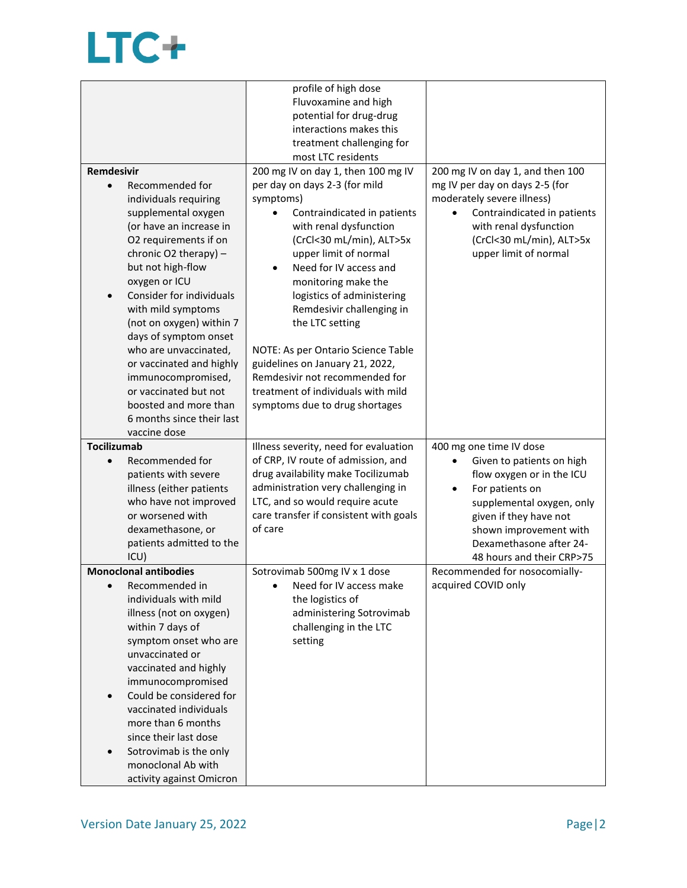## LTC+

|                                              | profile of high dose                              |                                  |
|----------------------------------------------|---------------------------------------------------|----------------------------------|
|                                              | Fluvoxamine and high                              |                                  |
|                                              | potential for drug-drug                           |                                  |
|                                              | interactions makes this                           |                                  |
|                                              | treatment challenging for                         |                                  |
|                                              | most LTC residents                                |                                  |
| <b>Remdesivir</b>                            | 200 mg IV on day 1, then 100 mg IV                | 200 mg IV on day 1, and then 100 |
| Recommended for<br>$\bullet$                 | per day on days 2-3 (for mild                     | mg IV per day on days 2-5 (for   |
| individuals requiring                        | symptoms)                                         | moderately severe illness)       |
| supplemental oxygen                          | Contraindicated in patients                       | Contraindicated in patients      |
| (or have an increase in                      | with renal dysfunction                            | with renal dysfunction           |
| O2 requirements if on                        | (CrCl<30 mL/min), ALT>5x                          | (CrCl<30 mL/min), ALT>5x         |
| chronic O2 therapy) -                        | upper limit of normal                             | upper limit of normal            |
| but not high-flow                            | Need for IV access and<br>$\bullet$               |                                  |
| oxygen or ICU                                | monitoring make the                               |                                  |
| Consider for individuals                     | logistics of administering                        |                                  |
| with mild symptoms                           | Remdesivir challenging in                         |                                  |
| (not on oxygen) within 7                     | the LTC setting                                   |                                  |
| days of symptom onset                        |                                                   |                                  |
| who are unvaccinated,                        | NOTE: As per Ontario Science Table                |                                  |
| or vaccinated and highly                     | guidelines on January 21, 2022,                   |                                  |
| immunocompromised,                           | Remdesivir not recommended for                    |                                  |
| or vaccinated but not                        | treatment of individuals with mild                |                                  |
| boosted and more than                        | symptoms due to drug shortages                    |                                  |
| 6 months since their last                    |                                                   |                                  |
| vaccine dose                                 |                                                   |                                  |
| <b>Tocilizumab</b>                           | Illness severity, need for evaluation             | 400 mg one time IV dose          |
| Recommended for<br>$\bullet$                 | of CRP, IV route of admission, and                | Given to patients on high        |
|                                              |                                                   |                                  |
|                                              |                                                   |                                  |
| patients with severe                         | drug availability make Tocilizumab                | flow oxygen or in the ICU        |
| illness (either patients                     | administration very challenging in                | For patients on<br>٠             |
| who have not improved                        | LTC, and so would require acute                   | supplemental oxygen, only        |
| or worsened with                             | care transfer if consistent with goals<br>of care | given if they have not           |
| dexamethasone, or                            |                                                   | shown improvement with           |
| patients admitted to the                     |                                                   | Dexamethasone after 24-          |
| ICU)                                         |                                                   | 48 hours and their CRP>75        |
| <b>Monoclonal antibodies</b>                 | Sotrovimab 500mg IV x 1 dose                      | Recommended for nosocomially-    |
| Recommended in                               | Need for IV access make                           | acquired COVID only              |
| individuals with mild                        | the logistics of                                  |                                  |
| illness (not on oxygen)                      | administering Sotrovimab                          |                                  |
| within 7 days of                             | challenging in the LTC                            |                                  |
| symptom onset who are                        | setting                                           |                                  |
| unvaccinated or                              |                                                   |                                  |
| vaccinated and highly                        |                                                   |                                  |
| immunocompromised                            |                                                   |                                  |
| Could be considered for                      |                                                   |                                  |
| vaccinated individuals                       |                                                   |                                  |
| more than 6 months                           |                                                   |                                  |
| since their last dose                        |                                                   |                                  |
| Sotrovimab is the only<br>monoclonal Ab with |                                                   |                                  |